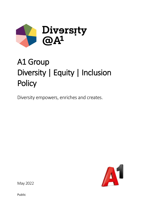

# A1 Group Diversity | Equity | Inclusion **Policy**

Diversity empowers, enriches and creates.



May 2022

Public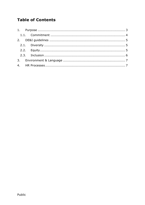## **Table of Contents**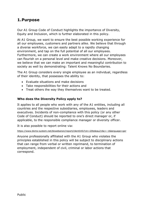## <span id="page-2-0"></span>**1.Purpose**

Our A1 Group Code of Conduct highlights the importance of Diversity, Equity and Inclusion, which is further elaborated in this policy.

At A1 Group, we want to ensure the best possible working experience for all our employees, customers and partners alike. We believe that through a diverse workforce, we can easily adapt to a rapidly changing environment, and tap on the full potential of all our employees. Furthermore, we can create a work environment where all our employees can flourish on a personal level and make creative decisions. Moreover, we believe that we can make an important and meaningful contribution to society as well by demonstrating: Talent Knows No Boundaries.

The A1 Group considers every single employee as an individual, regardless of their identity, that possesses the ability to:

- Evaluate situations and make decisions
- Take responsibilities for their actions and
- Treat others the way they themselves want to be treated.

#### **Who does the Diversity Policy apply to?**

It applies to all people who work with any of the A1 entities, including all countries and the respective subsidiaries, employees, leaders and executives. Incidents of non-compliance with this policy (or any other Code of Conduct) should be reported to one's direct manager or, if applicable, to the responsible compliance manager or diversity officer.

It is also possible to report online via:

<https://www.bkms-system.net/bkwebanon/report/clientInfo?cin=20teleau21&c=-1&language=ger>

Anyone professionally affiliated with the A1 Group who violates the principles established in this policy will be subject to disciplinary actions that can range from verbal or written reprimand, to termination of employment, independent of civil, criminal or labor actions that correspond.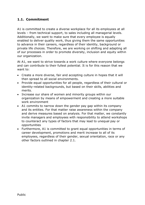#### <span id="page-3-0"></span>**1.1. Commitment**

A1 is committed to create a diverse workplace for all its employees at all levels – from technical support, to sales including all managerial levels. Additionally, we want to make sure that every employee is equally enabled to deliver quality work, thus giving them the same opportunities to advance in their careers, regardless of their identity, background or private life choices. Therefore, we are working on shifting and adapting all of our processes in order to promote diversity, inclusion and equity within our organization.

At A1, we want to strive towards a work culture where everyone belongs and can contribute to their fullest potential. It is for this reason that we want to:

- Create a more diverse, fair and accepting culture in hopes that it will then spread to all social environments.
- Provide equal opportunities for all people, regardless of their cultural or identity-related backgrounds, but based on their skills, abilities and merits.
- Increase our share of women and minority groups within our organization by means of empowerment and creating a more suitable work environment
- A1 commits to narrow down the gender pay gap within its company and its entities. For that matter raise awareness within the company and derive measures based on analysis. For that matter, we constantly invite managers and employees with responsibility to attend workshops to counteract any types of factors that may lead to unequal pay or opportunities
- Furthermore, A1 is committed to grant equal opportunities in terms of career development, promotions and merit increase to all of its employees, regardless of their gender, sexual orientation, race or any other factors outlined in chapter 2.1.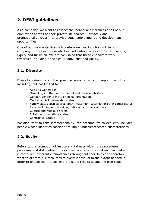## <span id="page-4-0"></span>**2. DE&I guidelines**

As a company, we want to respect the individual differences of all of our employees as well as their private life choices – privately and professionally. We aim to provide equal employment and development opportunities.

One of our main objectives is to reduce unconscious bias within our company to the best of our abilities and foster a work culture of Diversity, Equity and Inclusion. We are convinced that these endeavors work towards our guiding principles: Team, Trust and Agility.

#### <span id="page-4-1"></span>**2.1. Diversity**

Diversity refers to all the possible ways in which people may differ, including, but not limited to:

- o Age and Generation
- o Disability, in other words mental and physical abilities
- o Gender, gender identity or sexual orientation
- o Marital or civil partnership status
- o Family status such as pregnancy, maternity, paternity or other career status
- o Race, including ethnic origin, nationality or color of the skin
- o Culture and religious beliefs
- o Full-time or part-time status
- o Contractual Status

We also want to take intersectionality into account, which explicitly includes people whose identities consist of multiple underrepresented characteristics.

#### <span id="page-4-2"></span>**2.2. Equity**

Refers to the promotion of justice and fairness within the procedures, processes and distribution of resources. We recognize that each individual is faced with different circumstances throughout their lives and therefore want to allocate our resources to every individual to the extent needed in order to enable them to achieve the same results as anyone else could.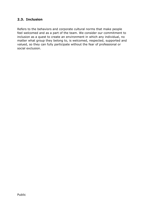#### <span id="page-5-0"></span>**2.3. Inclusion**

Refers to the behaviors and corporate cultural norms that make people feel welcomed and as a part of the team. We consider our commitment to inclusion as a quest to create an environment in which any individual, no matter what group they belong to, is welcomed, respected, supported and valued, so they can fully participate without the fear of professional or social exclusion.